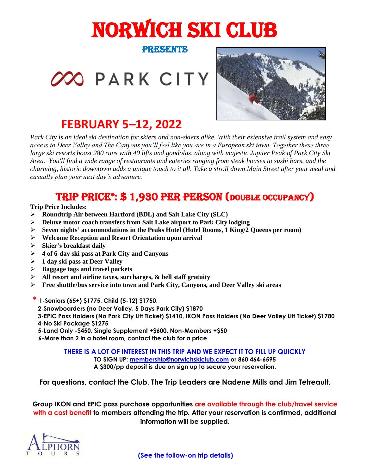# NORWICH SKI CLUB

### PRESENTS

XO PARK CITY



# **FEBRUARY 5–12, 2022**

*Park City is an ideal ski destination for skiers and non-skiers alike. With their extensive trail system and easy access to Deer Valley and The Canyons you'll feel like you are in a European ski town. Together these three large ski resorts boast 280 runs with 40 lifts and gondolas, along with majestic Jupiter Peak of Park City Ski Area. You'll find a wide range of restaurants and eateries ranging from steak houses to sushi bars, and the charming, historic downtown adds a unique touch to it all. Take a stroll down Main Street after your meal and casually plan your next day's adventure.*

## TRIP PRICE\*: \$1,930 PER PERSON (DOUBLE OCCUPANCY)

**Trip Price Includes:**

- ➢ **Roundtrip Air between Hartford (BDL) and Salt Lake City (SLC)**
- ➢ **Deluxe motor coach transfers from Salt Lake airport to Park City lodging**
- ➢ **Seven nights' accommodations in the Peaks Hotel (Hotel Rooms, 1 King/2 Queens per room)**
- ➢ **Welcome Reception and Resort Orientation upon arrival**
- ➢ **Skier's breakfast daily**
- ➢ **4 of 6-day ski pass at Park City and Canyons**
- ➢ **1 day ski pass at Deer Valley**
- ➢ **Baggage tags and travel packets**
- ➢ **All resort and airline taxes, surcharges, & bell staff gratuity**
- ➢ **Free shuttle/bus service into town and Park City, Canyons, and Deer Valley ski areas**
- **\* 1-Seniors (65+) \$1775, Child (5-12) \$1750,** 
	- **2-Snowboarders (no Deer Valley, 5 Days Park City) \$1870**
- **3-EPIC Pass Holders (No Park City Lift Ticket) \$1410, IKON Pass Holders (No Deer Valley Lift Ticket) \$1780 4-No Ski Package \$1275**
- **5-Land Only -\$450, Single Supplement +\$600, Non-Members +\$50**
- **6-More than 2 in a hotel room, contact the club for a price**

**THERE IS A LOT OF INTEREST IN THIS TRIP AND WE EXPECT IT TO FILL UP QUICKLY**

**TO SIGN UP: [membership@norwichskiclub.com](mailto:membership@norwichskiclub.com) or 860 464-6595 A \$300/pp deposit is due on sign up to secure your reservation.**

**For questions, contact the Club. The Trip Leaders are Nadene Mills and Jim Tetreault.**

**Group IKON and EPIC pass purchase opportunities are available through the club/travel service with a cost benefit to members attending the trip. After your reservation is confirmed, additional information will be supplied.**